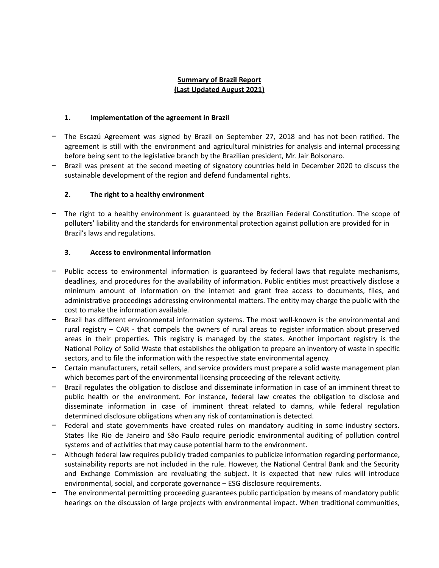# **Summary of Brazil Report (Last Updated August 2021)**

### **1. Implementation of the agreement in Brazil**

- The Escazú Agreement was signed by Brazil on September 27, 2018 and has not been ratified. The agreement is still with the environment and agricultural ministries for analysis and internal processing before being sent to the legislative branch by the Brazilian president, Mr. Jair Bolsonaro.
- Brazil was present at the second meeting of signatory countries held in December 2020 to discuss the sustainable development of the region and defend fundamental rights.

# **2. The right to a healthy environment**

The right to a healthy environment is guaranteed by the Brazilian Federal Constitution. The scope of polluters' liability and the standards for environmental protection against pollution are provided for in Brazil's laws and regulations.

# **3. Access to environmental information**

- Public access to environmental information is guaranteed by federal laws that regulate mechanisms, deadlines, and procedures for the availability of information. Public entities must proactively disclose a minimum amount of information on the internet and grant free access to documents, files, and administrative proceedings addressing environmental matters. The entity may charge the public with the cost to make the information available.
- − Brazil has different environmental information systems. The most well-known is the environmental and rural registry – CAR - that compels the owners of rural areas to register information about preserved areas in their properties. This registry is managed by the states. Another important registry is the National Policy of Solid Waste that establishes the obligation to prepare an inventory of waste in specific sectors, and to file the information with the respective state environmental agency.
- − Certain manufacturers, retail sellers, and service providers must prepare a solid waste management plan which becomes part of the environmental licensing proceeding of the relevant activity.
- Brazil regulates the obligation to disclose and disseminate information in case of an imminent threat to public health or the environment. For instance, federal law creates the obligation to disclose and disseminate information in case of imminent threat related to damns, while federal regulation determined disclosure obligations when any risk of contamination is detected.
- Federal and state governments have created rules on mandatory auditing in some industry sectors. States like Rio de Janeiro and São Paulo require periodic environmental auditing of pollution control systems and of activities that may cause potential harm to the environment.
- − Although federal law requires publicly traded companies to publicize information regarding performance, sustainability reports are not included in the rule. However, the National Central Bank and the Security and Exchange Commission are revaluating the subject. It is expected that new rules will introduce environmental, social, and corporate governance – ESG disclosure requirements.
- The environmental permitting proceeding guarantees public participation by means of mandatory public hearings on the discussion of large projects with environmental impact. When traditional communities,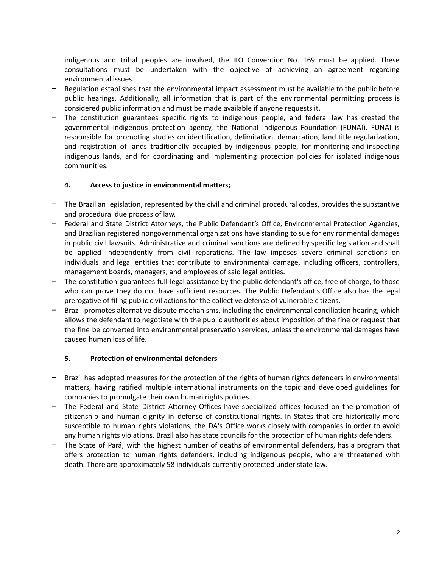indigenous and tribal peoples are involved, the ILO Convention No. 169 must be applied. These consultations must be undertaken with the objective of achieving an agreement regarding environmental issues.

- Regulation establishes that the environmental impact assessment must be available to the public before public hearings. Additionally, all information that is part of the environmental permitting process is considered public information and must be made available if anyone requests it.
- The constitution guarantees specific rights to indigenous people, and federal law has created the governmental indigenous protection agency, the National Indigenous Foundation (FUNAI). FUNAI is responsible for promoting studies on identification, delimitation, demarcation, land title regularization, and registration of lands traditionally occupied by indigenous people, for monitoring and inspecting indigenous lands, and for coordinating and implementing protection policies for isolated indigenous communities.

## **4. Access to justice in environmental matters;**

- The Brazilian legislation, represented by the civil and criminal procedural codes, provides the substantive and procedural due process of law.
- Federal and State District Attorneys, the Public Defendant's Office, Environmental Protection Agencies, and Brazilian registered nongovernmental organizations have standing to sue for environmental damages in public civil lawsuits. Administrative and criminal sanctions are defined by specific legislation and shall be applied independently from civil reparations. The law imposes severe criminal sanctions on individuals and legal entities that contribute to environmental damage, including officers, controllers, management boards, managers, and employees of said legal entities.
- The constitution guarantees full legal assistance by the public defendant's office, free of charge, to those who can prove they do not have sufficient resources. The Public Defendant's Office also has the legal prerogative of filing public civil actions for the collective defense of vulnerable citizens.
- − Brazil promotes alternative dispute mechanisms, including the environmental conciliation hearing, which allows the defendant to negotiate with the public authorities about imposition of the fine or request that the fine be converted into environmental preservation services, unless the environmental damages have caused human loss of life.

#### **5. Protection of environmental defenders**

- − Brazil has adopted measures for the protection of the rights of human rights defenders in environmental matters, having ratified multiple international instruments on the topic and developed guidelines for companies to promulgate their own human rights policies.
- The Federal and State District Attorney Offices have specialized offices focused on the promotion of citizenship and human dignity in defense of constitutional rights. In States that are historically more susceptible to human rights violations, the DA's Office works closely with companies in order to avoid any human rights violations. Brazil also has state councils for the protection of human rights defenders.
- The State of Pará, with the highest number of deaths of environmental defenders, has a program that offers protection to human rights defenders, including indigenous people, who are threatened with death. There are approximately 58 individuals currently protected under state law.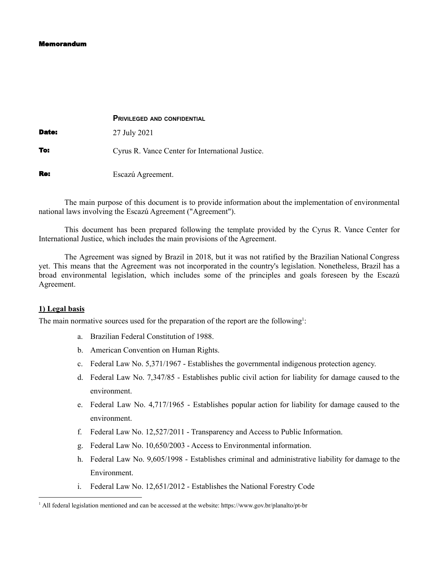#### Memorandum

|              | <b>PRIVILEGED AND CONFIDENTIAL</b>               |
|--------------|--------------------------------------------------|
| <b>Date:</b> | 27 July 2021                                     |
| To:          | Cyrus R. Vance Center for International Justice. |
| Re:          | Escazú Agreement.                                |

The main purpose of this document is to provide information about the implementation of environmental national laws involving the Escazú Agreement ("Agreement").

This document has been prepared following the template provided by the Cyrus R. Vance Center for International Justice, which includes the main provisions of the Agreement.

The Agreement was signed by Brazil in 2018, but it was not ratified by the Brazilian National Congress yet. This means that the Agreement was not incorporated in the country's legislation. Nonetheless, Brazil has a broad environmental legislation, which includes some of the principles and goals foreseen by the Escazú Agreement.

#### **1) Legal basis**

The main normative sources used for the preparation of the report are the following<sup>1</sup>:

- a. Brazilian Federal Constitution of 1988.
- b. American Convention on Human Rights.
- c. Federal Law No. 5,371/1967 Establishes the governmental indigenous protection agency.
- d. Federal Law No. 7,347/85 Establishes public civil action for liability for damage caused to the environment.
- e. Federal Law No. 4,717/1965 Establishes popular action for liability for damage caused to the environment.
- f. Federal Law No. 12,527/2011 Transparency and Access to Public Information.
- g. Federal Law No. 10,650/2003 Access to Environmental information.
- h. Federal Law No. 9,605/1998 Establishes criminal and administrative liability for damage to the Environment.
- i. Federal Law No. 12,651/2012 Establishes the National Forestry Code

<sup>1</sup> All federal legislation mentioned and can be accessed at the website: https://www.gov.br/planalto/pt-br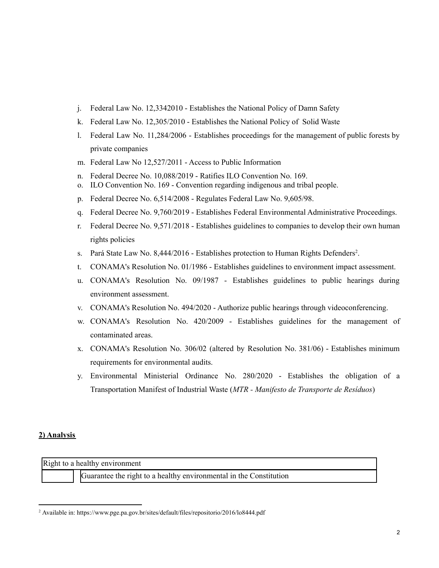- j. Federal Law No. 12,3342010 Establishes the National Policy of Damn Safety
- k. Federal Law No. 12,305/2010 Establishes the National Policy of Solid Waste
- l. Federal Law No. 11,284/2006 Establishes proceedings for the management of public forests by private companies
- m. Federal Law No 12,527/2011 Access to Public Information
- n. Federal Decree No. 10,088/2019 Ratifies ILO Convention No. 169.
- o. ILO Convention No. 169 Convention regarding indigenous and tribal people.
- p. Federal Decree No. 6,514/2008 Regulates Federal Law No. 9,605/98.
- q. Federal Decree No. 9,760/2019 Establishes Federal Environmental Administrative Proceedings.
- r. Federal Decree No. 9,571/2018 Establishes guidelines to companies to develop their own human rights policies
- s. Pará State Law No. 8,444/2016 Establishes protection to Human Rights Defenders<sup>2</sup>.
- t. CONAMA's Resolution No. 01/1986 Establishes guidelines to environment impact assessment.
- u. CONAMA's Resolution No. 09/1987 Establishes guidelines to public hearings during environment assessment.
- v. CONAMA's Resolution No. 494/2020 Authorize public hearings through videoconferencing.
- w. CONAMA's Resolution No. 420/2009 Establishes guidelines for the management of contaminated areas.
- x. CONAMA's Resolution No. 306/02 (altered by Resolution No. 381/06) Establishes minimum requirements for environmental audits.
- y. Environmental Ministerial Ordinance No. 280/2020 Establishes the obligation of a Transportation Manifest of Industrial Waste (*MTR - Manifesto de Transporte de Resíduos*)

#### **2) Analysis**

Right to a healthy environment

Guarantee the right to a healthy environmental in the Constitution

<sup>2</sup> Available in: https://www.pge.pa.gov.br/sites/default/files/repositorio/2016/lo8444.pdf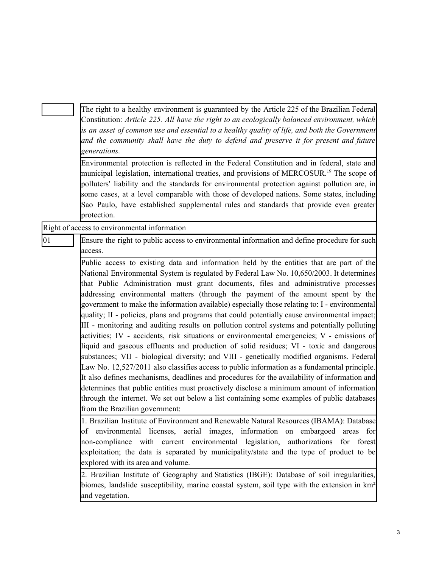|              | The right to a healthy environment is guaranteed by the Article 225 of the Brazilian Federal<br>Constitution: Article 225. All have the right to an ecologically balanced environment, which<br>is an asset of common use and essential to a healthy quality of life, and both the Government<br>and the community shall have the duty to defend and preserve it for present and future<br>generations.<br>Environmental protection is reflected in the Federal Constitution and in federal, state and<br>municipal legislation, international treaties, and provisions of MERCOSUR. <sup>19</sup> The scope of<br>polluters' liability and the standards for environmental protection against pollution are, in<br>some cases, at a level comparable with those of developed nations. Some states, including<br>Sao Paulo, have established supplemental rules and standards that provide even greater                                                                                                                                                                                                                                                                                                                                                                                                                                                                               |
|--------------|---------------------------------------------------------------------------------------------------------------------------------------------------------------------------------------------------------------------------------------------------------------------------------------------------------------------------------------------------------------------------------------------------------------------------------------------------------------------------------------------------------------------------------------------------------------------------------------------------------------------------------------------------------------------------------------------------------------------------------------------------------------------------------------------------------------------------------------------------------------------------------------------------------------------------------------------------------------------------------------------------------------------------------------------------------------------------------------------------------------------------------------------------------------------------------------------------------------------------------------------------------------------------------------------------------------------------------------------------------------------------------------|
|              | protection.<br>Right of access to environmental information                                                                                                                                                                                                                                                                                                                                                                                                                                                                                                                                                                                                                                                                                                                                                                                                                                                                                                                                                                                                                                                                                                                                                                                                                                                                                                                           |
|              |                                                                                                                                                                                                                                                                                                                                                                                                                                                                                                                                                                                                                                                                                                                                                                                                                                                                                                                                                                                                                                                                                                                                                                                                                                                                                                                                                                                       |
| $ 01\rangle$ | Ensure the right to public access to environmental information and define procedure for such<br>access.                                                                                                                                                                                                                                                                                                                                                                                                                                                                                                                                                                                                                                                                                                                                                                                                                                                                                                                                                                                                                                                                                                                                                                                                                                                                               |
|              | Public access to existing data and information held by the entities that are part of the<br>National Environmental System is regulated by Federal Law No. 10,650/2003. It determines<br>that Public Administration must grant documents, files and administrative processes<br>addressing environmental matters (through the payment of the amount spent by the<br>government to make the information available) especially those relating to: I - environmental<br>quality; II - policies, plans and programs that could potentially cause environmental impact;<br>III - monitoring and auditing results on pollution control systems and potentially polluting<br>activities; IV - accidents, risk situations or environmental emergencies; V - emissions of<br>liquid and gaseous effluents and production of solid residues; VI - toxic and dangerous<br>substances; VII - biological diversity; and VIII - genetically modified organisms. Federal<br>Law No. 12,527/2011 also classifies access to public information as a fundamental principle.<br>It also defines mechanisms, deadlines and procedures for the availability of information and<br>determines that public entities must proactively disclose a minimum amount of information<br>through the internet. We set out below a list containing some examples of public databases<br>from the Brazilian government: |
|              | 1. Brazilian Institute of Environment and Renewable Natural Resources (IBAMA): Database<br>of environmental licenses, aerial images, information on embargoed areas for<br>non-compliance with current environmental legislation, authorizations<br>for forest<br>exploitation; the data is separated by municipality/state and the type of product to be<br>explored with its area and volume.                                                                                                                                                                                                                                                                                                                                                                                                                                                                                                                                                                                                                                                                                                                                                                                                                                                                                                                                                                                       |
|              | 2. Brazilian Institute of Geography and Statistics (IBGE): Database of soil irregularities,<br>biomes, landslide susceptibility, marine coastal system, soil type with the extension in km <sup>2</sup><br>and vegetation.                                                                                                                                                                                                                                                                                                                                                                                                                                                                                                                                                                                                                                                                                                                                                                                                                                                                                                                                                                                                                                                                                                                                                            |
|              |                                                                                                                                                                                                                                                                                                                                                                                                                                                                                                                                                                                                                                                                                                                                                                                                                                                                                                                                                                                                                                                                                                                                                                                                                                                                                                                                                                                       |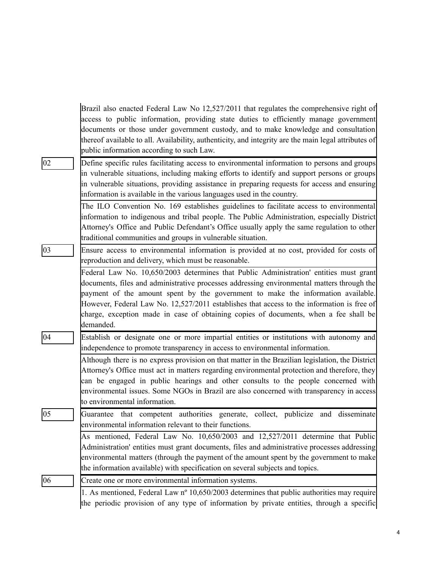|              | Brazil also enacted Federal Law No 12,527/2011 that regulates the comprehensive right of             |
|--------------|------------------------------------------------------------------------------------------------------|
|              | access to public information, providing state duties to efficiently manage government                |
|              | documents or those under government custody, and to make knowledge and consultation                  |
|              | thereof available to all. Availability, authenticity, and integrity are the main legal attributes of |
|              | public information according to such Law.                                                            |
| 02           | Define specific rules facilitating access to environmental information to persons and groups         |
|              | in vulnerable situations, including making efforts to identify and support persons or groups         |
|              | in vulnerable situations, providing assistance in preparing requests for access and ensuring         |
|              | information is available in the various languages used in the country.                               |
|              | The ILO Convention No. 169 establishes guidelines to facilitate access to environmental              |
|              | information to indigenous and tribal people. The Public Administration, especially District          |
|              | Attorney's Office and Public Defendant's Office usually apply the same regulation to other           |
|              | traditional communities and groups in vulnerable situation.                                          |
| $ 03\rangle$ | Ensure access to environmental information is provided at no cost, provided for costs of             |
|              | reproduction and delivery, which must be reasonable.                                                 |
|              | Federal Law No. 10,650/2003 determines that Public Administration' entities must grant               |
|              | documents, files and administrative processes addressing environmental matters through the           |
|              | payment of the amount spent by the government to make the information available.                     |
|              | However, Federal Law No. 12,527/2011 establishes that access to the information is free of           |
|              | charge, exception made in case of obtaining copies of documents, when a fee shall be                 |
|              | demanded.                                                                                            |
| 04           | Establish or designate one or more impartial entities or institutions with autonomy and              |
|              | independence to promote transparency in access to environmental information.                         |
|              | Although there is no express provision on that matter in the Brazilian legislation, the District     |
|              | Attorney's Office must act in matters regarding environmental protection and therefore, they         |
|              | can be engaged in public hearings and other consults to the people concerned with                    |
|              | environmental issues. Some NGOs in Brazil are also concerned with transparency in access             |
|              | to environmental information.                                                                        |
| 05           | that competent authorities generate, collect, publicize and disseminate<br>Guarantee                 |
|              | environmental information relevant to their functions.                                               |
|              | As mentioned, Federal Law No. 10,650/2003 and 12,527/2011 determine that Public                      |
|              | Administration' entities must grant documents, files and administrative processes addressing         |
|              | environmental matters (through the payment of the amount spent by the government to make             |
|              | the information available) with specification on several subjects and topics.                        |
| 06           | Create one or more environmental information systems.                                                |
|              | 1. As mentioned, Federal Law nº 10,650/2003 determines that public authorities may require           |
|              | the periodic provision of any type of information by private entities, through a specific            |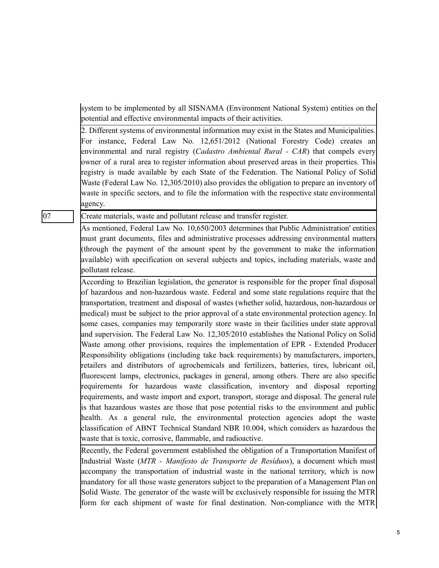system to be implemented by all SISNAMA (Environment National System) entities on the potential and effective environmental impacts of their activities.

2. Different systems of environmental information may exist in the States and Municipalities. For instance, Federal Law No. 12,651/2012 (National Forestry Code) creates an environmental and rural registry (*Cadastro Ambiental Rural - CAR*) that compels every owner of a rural area to register information about preserved areas in their properties. This registry is made available by each State of the Federation. The National Policy of Solid Waste (Federal Law No. 12,305/2010) also provides the obligation to prepare an inventory of waste in specific sectors, and to file the information with the respective state environmental agency.

07 Create materials, waste and pollutant release and transfer register.

As mentioned, Federal Law No. 10,650/2003 determines that Public Administration' entities must grant documents, files and administrative processes addressing environmental matters (through the payment of the amount spent by the government to make the information available) with specification on several subjects and topics, including materials, waste and pollutant release.

According to Brazilian legislation, the generator is responsible for the proper final disposal of hazardous and non-hazardous waste. Federal and some state regulations require that the transportation, treatment and disposal of wastes (whether solid, hazardous, non-hazardous or medical) must be subject to the prior approval of a state environmental protection agency. In some cases, companies may temporarily store waste in their facilities under state approval and supervision. The Federal Law No. 12,305/2010 establishes the National Policy on Solid Waste among other provisions, requires the implementation of EPR - Extended Producer Responsibility obligations (including take back requirements) by manufacturers, importers, retailers and distributors of agrochemicals and fertilizers, batteries, tires, lubricant oil, fluorescent lamps, electronics, packages in general, among others. There are also specific requirements for hazardous waste classification, inventory and disposal reporting requirements, and waste import and export, transport, storage and disposal. The general rule is that hazardous wastes are those that pose potential risks to the environment and public health. As a general rule, the environmental protection agencies adopt the waste classification of ABNT Technical Standard NBR 10.004, which considers as hazardous the waste that is toxic, corrosive, flammable, and radioactive.

Recently, the Federal government established the obligation of a Transportation Manifest of Industrial Waste (*MTR - Manifesto de Transporte de Resíduos*), a document which must accompany the transportation of industrial waste in the national territory, which is now mandatory for all those waste generators subject to the preparation of a Management Plan on Solid Waste. The generator of the waste will be exclusively responsible for issuing the MTR form for each shipment of waste for final destination. Non-compliance with the MTR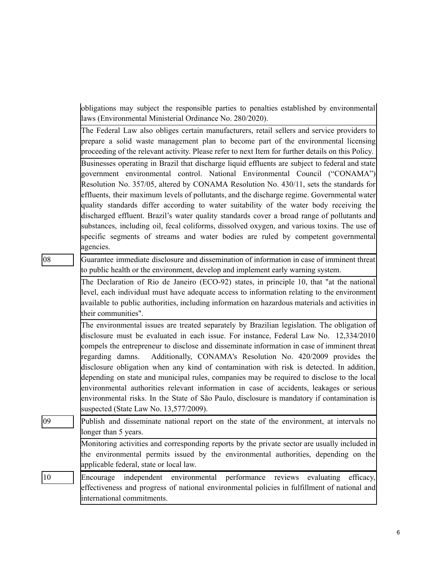obligations may subject the responsible parties to penalties established by environmental laws (Environmental Ministerial Ordinance No. 280/2020).

The Federal Law also obliges certain manufacturers, retail sellers and service providers to prepare a solid waste management plan to become part of the environmental licensing proceeding of the relevant activity. Please refer to next Item for further details on this Policy.

Businesses operating in Brazil that discharge liquid effluents are subject to federal and state government environmental control. National Environmental Council ("CONAMA") Resolution No. 357/05, altered by CONAMA Resolution No. 430/11, sets the standards for effluents, their maximum levels of pollutants, and the discharge regime. Governmental water quality standards differ according to water suitability of the water body receiving the discharged effluent. Brazil's water quality standards cover a broad range of pollutants and substances, including oil, fecal coliforms, dissolved oxygen, and various toxins. The use of specific segments of streams and water bodies are ruled by competent governmental agencies.

08 Guarantee immediate disclosure and dissemination of information in case of imminent threat to public health or the environment, develop and implement early warning system.

> The Declaration of Rio de Janeiro (ECO-92) states, in principle 10, that "at the national level, each individual must have adequate access to information relating to the environment available to public authorities, including information on hazardous materials and activities in their communities".

> The environmental issues are treated separately by Brazilian legislation. The obligation of disclosure must be evaluated in each issue. For instance, Federal Law No. 12,334/2010 compels the entrepreneur to disclose and disseminate information in case of imminent threat regarding damns. Additionally, CONAMA's Resolution No. 420/2009 provides the disclosure obligation when any kind of contamination with risk is detected. In addition, depending on state and municipal rules, companies may be required to disclose to the local environmental authorities relevant information in case of accidents, leakages or serious environmental risks. In the State of São Paulo, disclosure is mandatory if contamination is suspected (State Law No. 13,577/2009).

09 Publish and disseminate national report on the state of the environment, at intervals no longer than 5 years. Monitoring activities and corresponding reports by the private sector are usually included in the environmental permits issued by the environmental authorities, depending on the applicable federal, state or local law.

10 Encourage independent environmental performance reviews evaluating efficacy, effectiveness and progress of national environmental policies in fulfillment of national and international commitments.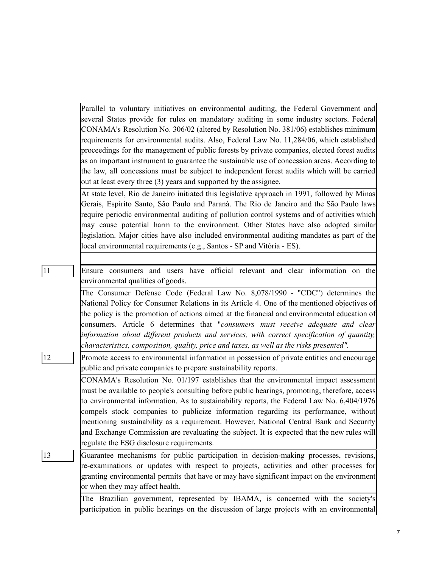Parallel to voluntary initiatives on environmental auditing, the Federal Government and several States provide for rules on mandatory auditing in some industry sectors. Federal CONAMA's Resolution No. 306/02 (altered by Resolution No. 381/06) establishes minimum requirements for environmental audits. Also, Federal Law No. 11,284/06, which established proceedings for the management of public forests by private companies, elected forest audits as an important instrument to guarantee the sustainable use of concession areas. According to the law, all concessions must be subject to independent forest audits which will be carried out at least every three (3) years and supported by the assignee.

At state level, Rio de Janeiro initiated this legislative approach in 1991, followed by Minas Gerais, Espírito Santo, São Paulo and Paraná. The Rio de Janeiro and the São Paulo laws require periodic environmental auditing of pollution control systems and of activities which may cause potential harm to the environment. Other States have also adopted similar legislation. Major cities have also included environmental auditing mandates as part of the local environmental requirements (e.g., Santos - SP and Vitória - ES).

11 Ensure consumers and users have official relevant and clear information on the environmental qualities of goods.

> The Consumer Defense Code (Federal Law No. 8,078/1990 - "CDC") determines the National Policy for Consumer Relations in its Article 4. One of the mentioned objectives of the policy is the promotion of actions aimed at the financial and environmental education of consumers. Article 6 determines that "*consumers must receive adequate and clear information about dif erent products and services, with correct specification of quantity, characteristics, composition, quality, price and taxes, as well as the risks presented".*

12 Promote access to environmental information in possession of private entities and encourage public and private companies to prepare sustainability reports.

> CONAMA's Resolution No. 01/197 establishes that the environmental impact assessment must be available to people's consulting before public hearings, promoting, therefore, access to environmental information. As to sustainability reports, the Federal Law No. 6,404/1976 compels stock companies to publicize information regarding its performance, without mentioning sustainability as a requirement. However, National Central Bank and Security and Exchange Commission are revaluating the subject. It is expected that the new rules will regulate the ESG disclosure requirements.

13 Guarantee mechanisms for public participation in decision-making processes, revisions, re-examinations or updates with respect to projects, activities and other processes for granting environmental permits that have or may have significant impact on the environment or when they may affect health.

> The Brazilian government, represented by IBAMA, is concerned with the society's participation in public hearings on the discussion of large projects with an environmental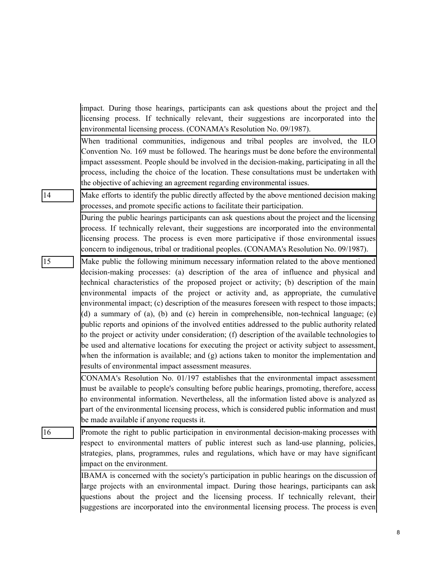|    | impact. During those hearings, participants can ask questions about the project and the                                                                                                     |
|----|---------------------------------------------------------------------------------------------------------------------------------------------------------------------------------------------|
|    | licensing process. If technically relevant, their suggestions are incorporated into the                                                                                                     |
|    | environmental licensing process. (CONAMA's Resolution No. 09/1987).                                                                                                                         |
|    | When traditional communities, indigenous and tribal peoples are involved, the ILO<br>Convention No. 169 must be followed. The hearings must be done before the environmental                |
|    | impact assessment. People should be involved in the decision-making, participating in all the                                                                                               |
|    | process, including the choice of the location. These consultations must be undertaken with                                                                                                  |
|    | the objective of achieving an agreement regarding environmental issues.                                                                                                                     |
| 14 | Make efforts to identify the public directly affected by the above mentioned decision making                                                                                                |
|    | processes, and promote specific actions to facilitate their participation.                                                                                                                  |
|    | During the public hearings participants can ask questions about the project and the licensing                                                                                               |
|    | process. If technically relevant, their suggestions are incorporated into the environmental                                                                                                 |
|    | licensing process. The process is even more participative if those environmental issues                                                                                                     |
|    | concern to indigenous, tribal or traditional peoples. (CONAMA's Resolution No. 09/1987).                                                                                                    |
| 15 | Make public the following minimum necessary information related to the above mentioned                                                                                                      |
|    | decision-making processes: (a) description of the area of influence and physical and                                                                                                        |
|    | technical characteristics of the proposed project or activity; (b) description of the main                                                                                                  |
|    | environmental impacts of the project or activity and, as appropriate, the cumulative                                                                                                        |
|    | environmental impact; (c) description of the measures foreseen with respect to those impacts;                                                                                               |
|    | (d) a summary of (a), (b) and (c) herein in comprehensible, non-technical language; (e)                                                                                                     |
|    | public reports and opinions of the involved entities addressed to the public authority related                                                                                              |
|    | to the project or activity under consideration; (f) description of the available technologies to                                                                                            |
|    | be used and alternative locations for executing the project or activity subject to assessment,                                                                                              |
|    | when the information is available; and (g) actions taken to monitor the implementation and                                                                                                  |
|    | results of environmental impact assessment measures.                                                                                                                                        |
|    | CONAMA's Resolution No. 01/197 establishes that the environmental impact assessment                                                                                                         |
|    | must be available to people's consulting before public hearings, promoting, therefore, access                                                                                               |
|    | to environmental information. Nevertheless, all the information listed above is analyzed as<br>part of the environmental licensing process, which is considered public information and must |
|    | be made available if anyone requests it.                                                                                                                                                    |
| 16 |                                                                                                                                                                                             |
|    | Promote the right to public participation in environmental decision-making processes with<br>respect to environmental matters of public interest such as land-use planning, policies,       |
|    | strategies, plans, programmes, rules and regulations, which have or may have significant                                                                                                    |
|    | impact on the environment.                                                                                                                                                                  |
|    | IBAMA is concerned with the society's participation in public hearings on the discussion of                                                                                                 |
|    | large projects with an environmental impact. During those hearings, participants can ask                                                                                                    |
|    | questions about the project and the licensing process. If technically relevant, their                                                                                                       |
|    | suggestions are incorporated into the environmental licensing process. The process is even                                                                                                  |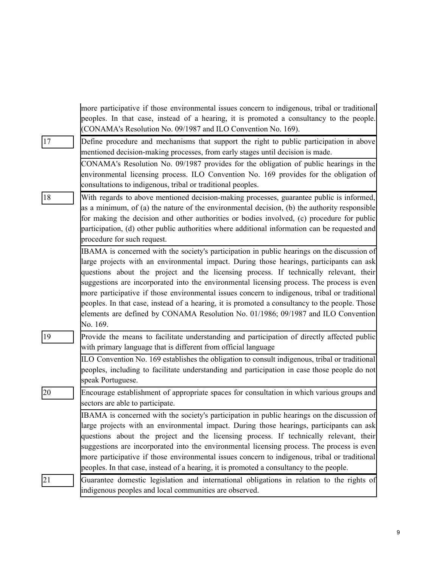|              | more participative if those environmental issues concern to indigenous, tribal or traditional<br>peoples. In that case, instead of a hearing, it is promoted a consultancy to the people.<br>(CONAMA's Resolution No. 09/1987 and ILO Convention No. 169).                                                                                                                                                                                                                                                                                                                                                                                                                         |
|--------------|------------------------------------------------------------------------------------------------------------------------------------------------------------------------------------------------------------------------------------------------------------------------------------------------------------------------------------------------------------------------------------------------------------------------------------------------------------------------------------------------------------------------------------------------------------------------------------------------------------------------------------------------------------------------------------|
| 17           | Define procedure and mechanisms that support the right to public participation in above<br>mentioned decision-making processes, from early stages until decision is made.                                                                                                                                                                                                                                                                                                                                                                                                                                                                                                          |
|              | CONAMA's Resolution No. 09/1987 provides for the obligation of public hearings in the<br>environmental licensing process. ILO Convention No. 169 provides for the obligation of<br>consultations to indigenous, tribal or traditional peoples.                                                                                                                                                                                                                                                                                                                                                                                                                                     |
| 18           | With regards to above mentioned decision-making processes, guarantee public is informed,<br>as a minimum, of (a) the nature of the environmental decision, (b) the authority responsible<br>for making the decision and other authorities or bodies involved, (c) procedure for public<br>participation, (d) other public authorities where additional information can be requested and<br>procedure for such request.                                                                                                                                                                                                                                                             |
|              | IBAMA is concerned with the society's participation in public hearings on the discussion of<br>large projects with an environmental impact. During those hearings, participants can ask<br>questions about the project and the licensing process. If technically relevant, their<br>suggestions are incorporated into the environmental licensing process. The process is even<br>more participative if those environmental issues concern to indigenous, tribal or traditional<br>peoples. In that case, instead of a hearing, it is promoted a consultancy to the people. Those<br>elements are defined by CONAMA Resolution No. 01/1986; 09/1987 and ILO Convention<br>No. 169. |
| $ 19\rangle$ | Provide the means to facilitate understanding and participation of directly affected public<br>with primary language that is different from official language                                                                                                                                                                                                                                                                                                                                                                                                                                                                                                                      |
|              | ILO Convention No. 169 establishes the obligation to consult indigenous, tribal or traditional<br>peoples, including to facilitate understanding and participation in case those people do not<br>speak Portuguese.                                                                                                                                                                                                                                                                                                                                                                                                                                                                |
| 20           | Encourage establishment of appropriate spaces for consultation in which various groups and<br>sectors are able to participate.                                                                                                                                                                                                                                                                                                                                                                                                                                                                                                                                                     |
|              | IBAMA is concerned with the society's participation in public hearings on the discussion of<br>large projects with an environmental impact. During those hearings, participants can ask<br>questions about the project and the licensing process. If technically relevant, their<br>suggestions are incorporated into the environmental licensing process. The process is even<br>more participative if those environmental issues concern to indigenous, tribal or traditional<br>peoples. In that case, instead of a hearing, it is promoted a consultancy to the people.                                                                                                        |
| 21           | Guarantee domestic legislation and international obligations in relation to the rights of<br>indigenous peoples and local communities are observed.                                                                                                                                                                                                                                                                                                                                                                                                                                                                                                                                |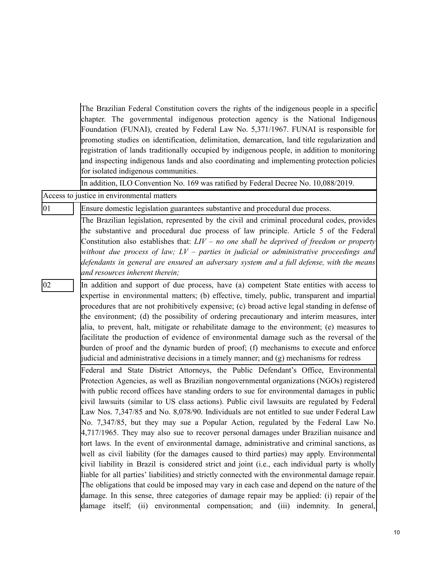|    | The Brazilian Federal Constitution covers the rights of the indigenous people in a specific<br>chapter. The governmental indigenous protection agency is the National Indigenous<br>Foundation (FUNAI), created by Federal Law No. 5,371/1967. FUNAI is responsible for<br>promoting studies on identification, delimitation, demarcation, land title regularization and<br>registration of lands traditionally occupied by indigenous people, in addition to monitoring<br>and inspecting indigenous lands and also coordinating and implementing protection policies<br>for isolated indigenous communities.                                                                                                                                                                                                                                                                                                                                                                                                                                                                                                                                                                                                                                                                                                                                    |
|----|---------------------------------------------------------------------------------------------------------------------------------------------------------------------------------------------------------------------------------------------------------------------------------------------------------------------------------------------------------------------------------------------------------------------------------------------------------------------------------------------------------------------------------------------------------------------------------------------------------------------------------------------------------------------------------------------------------------------------------------------------------------------------------------------------------------------------------------------------------------------------------------------------------------------------------------------------------------------------------------------------------------------------------------------------------------------------------------------------------------------------------------------------------------------------------------------------------------------------------------------------------------------------------------------------------------------------------------------------|
|    | In addition, ILO Convention No. 169 was ratified by Federal Decree No. 10,088/2019.<br>Access to justice in environmental matters                                                                                                                                                                                                                                                                                                                                                                                                                                                                                                                                                                                                                                                                                                                                                                                                                                                                                                                                                                                                                                                                                                                                                                                                                 |
| 01 |                                                                                                                                                                                                                                                                                                                                                                                                                                                                                                                                                                                                                                                                                                                                                                                                                                                                                                                                                                                                                                                                                                                                                                                                                                                                                                                                                   |
|    | Ensure domestic legislation guarantees substantive and procedural due process.                                                                                                                                                                                                                                                                                                                                                                                                                                                                                                                                                                                                                                                                                                                                                                                                                                                                                                                                                                                                                                                                                                                                                                                                                                                                    |
|    | The Brazilian legislation, represented by the civil and criminal procedural codes, provides<br>the substantive and procedural due process of law principle. Article 5 of the Federal<br>Constitution also establishes that: $LIV - no$ one shall be deprived of freedom or property<br>without due process of law; $LV$ – parties in judicial or administrative proceedings and<br>defendants in general are ensured an adversary system and a full defense, with the means<br>and resources inherent therein;                                                                                                                                                                                                                                                                                                                                                                                                                                                                                                                                                                                                                                                                                                                                                                                                                                    |
| 02 | In addition and support of due process, have (a) competent State entities with access to<br>expertise in environmental matters; (b) effective, timely, public, transparent and impartial<br>procedures that are not prohibitively expensive; (c) broad active legal standing in defense of<br>the environment; (d) the possibility of ordering precautionary and interim measures, inter<br>alia, to prevent, halt, mitigate or rehabilitate damage to the environment; (e) measures to<br>facilitate the production of evidence of environmental damage such as the reversal of the<br>burden of proof and the dynamic burden of proof; (f) mechanisms to execute and enforce<br>judicial and administrative decisions in a timely manner; and (g) mechanisms for redress                                                                                                                                                                                                                                                                                                                                                                                                                                                                                                                                                                        |
|    | Federal and State District Attorneys, the Public Defendant's Office, Environmental<br>Protection Agencies, as well as Brazilian nongovernmental organizations (NGOs) registered<br>with public record offices have standing orders to sue for environmental damages in public<br>civil lawsuits (similar to US class actions). Public civil lawsuits are regulated by Federal<br>Law Nos. 7,347/85 and No. 8,078/90. Individuals are not entitled to sue under Federal Law<br>No. 7,347/85, but they may sue a Popular Action, regulated by the Federal Law No.<br>$4,717/1965$ . They may also sue to recover personal damages under Brazilian nuisance and<br>tort laws. In the event of environmental damage, administrative and criminal sanctions, as<br>well as civil liability (for the damages caused to third parties) may apply. Environmental<br>civil liability in Brazil is considered strict and joint (i.e., each individual party is wholly<br>liable for all parties' liabilities) and strictly connected with the environmental damage repair.<br>The obligations that could be imposed may vary in each case and depend on the nature of the<br>damage. In this sense, three categories of damage repair may be applied: (i) repair of the<br>damage itself; (ii) environmental compensation; and (iii) indemnity. In general, |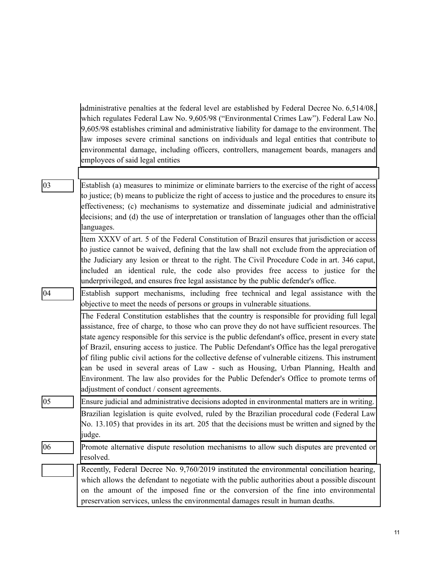administrative penalties at the federal level are established by Federal Decree No. 6,514/08, which regulates Federal Law No. 9,605/98 ("Environmental Crimes Law"). Federal Law No. 9,605/98 establishes criminal and administrative liability for damage to the environment. The law imposes severe criminal sanctions on individuals and legal entities that contribute to environmental damage, including officers, controllers, management boards, managers and employees of said legal entities

03 Establish (a) measures to minimize or eliminate barriers to the exercise of the right of access to justice; (b) means to publicize the right of access to justice and the procedures to ensure its effectiveness; (c) mechanisms to systematize and disseminate judicial and administrative decisions; and (d) the use of interpretation or translation of languages other than the official languages.

> Item XXXV of art. 5 of the Federal Constitution of Brazil ensures that jurisdiction or access to justice cannot be waived, defining that the law shall not exclude from the appreciation of the Judiciary any lesion or threat to the right. The Civil Procedure Code in art. 346 caput, included an identical rule, the code also provides free access to justice for the underprivileged, and ensures free legal assistance by the public defender's office.

04 Establish support mechanisms, including free technical and legal assistance with the objective to meet the needs of persons or groups in vulnerable situations.

The Federal Constitution establishes that the country is responsible for providing full legal assistance, free of charge, to those who can prove they do not have sufficient resources. The state agency responsible for this service is the public defendant's office, present in every state of Brazil, ensuring access to justice. The Public Defendant's Office has the legal prerogative of filing public civil actions for the collective defense of vulnerable citizens. This instrument can be used in several areas of Law - such as Housing, Urban Planning, Health and Environment. The law also provides for the Public Defender's Office to promote terms of adjustment of conduct / consent agreements.

05 Ensure judicial and administrative decisions adopted in environmental matters are in writing. Brazilian legislation is quite evolved, ruled by the Brazilian procedural code (Federal Law No. 13.105) that provides in its art. 205 that the decisions must be written and signed by the judge.

06 Promote alternative dispute resolution mechanisms to allow such disputes are prevented or resolved.

Recently, Federal Decree No. 9,760/2019 instituted the environmental conciliation hearing, which allows the defendant to negotiate with the public authorities about a possible discount on the amount of the imposed fine or the conversion of the fine into environmental preservation services, unless the environmental damages result in human deaths.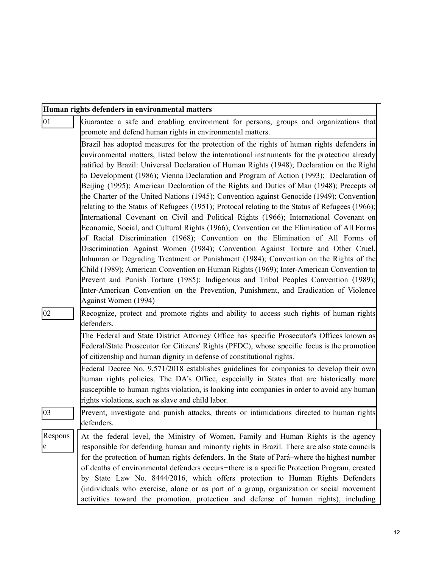|               | Human rights defenders in environmental matters                                                                                                                                                                                                                                                                                                                                                                                                                                                                                                                                |  |
|---------------|--------------------------------------------------------------------------------------------------------------------------------------------------------------------------------------------------------------------------------------------------------------------------------------------------------------------------------------------------------------------------------------------------------------------------------------------------------------------------------------------------------------------------------------------------------------------------------|--|
| $ 01\rangle$  | Guarantee a safe and enabling environment for persons, groups and organizations that<br>promote and defend human rights in environmental matters.                                                                                                                                                                                                                                                                                                                                                                                                                              |  |
|               | Brazil has adopted measures for the protection of the rights of human rights defenders in                                                                                                                                                                                                                                                                                                                                                                                                                                                                                      |  |
|               | environmental matters, listed below the international instruments for the protection already<br>ratified by Brazil: Universal Declaration of Human Rights (1948); Declaration on the Right<br>to Development (1986); Vienna Declaration and Program of Action (1993); Declaration of<br>Beijing (1995); American Declaration of the Rights and Duties of Man (1948); Precepts of<br>the Charter of the United Nations (1945); Convention against Genocide (1949); Convention<br>relating to the Status of Refugees (1951); Protocol relating to the Status of Refugees (1966); |  |
|               | International Covenant on Civil and Political Rights (1966); International Covenant on                                                                                                                                                                                                                                                                                                                                                                                                                                                                                         |  |
|               | Economic, Social, and Cultural Rights (1966); Convention on the Elimination of All Forms                                                                                                                                                                                                                                                                                                                                                                                                                                                                                       |  |
|               | of Racial Discrimination (1968); Convention on the Elimination of All Forms of                                                                                                                                                                                                                                                                                                                                                                                                                                                                                                 |  |
|               | Discrimination Against Women (1984); Convention Against Torture and Other Cruel,<br>Inhuman or Degrading Treatment or Punishment (1984); Convention on the Rights of the                                                                                                                                                                                                                                                                                                                                                                                                       |  |
|               | Child (1989); American Convention on Human Rights (1969); Inter-American Convention to                                                                                                                                                                                                                                                                                                                                                                                                                                                                                         |  |
|               | Prevent and Punish Torture (1985); Indigenous and Tribal Peoples Convention (1989);                                                                                                                                                                                                                                                                                                                                                                                                                                                                                            |  |
|               | Inter-American Convention on the Prevention, Punishment, and Eradication of Violence                                                                                                                                                                                                                                                                                                                                                                                                                                                                                           |  |
|               | Against Women (1994)                                                                                                                                                                                                                                                                                                                                                                                                                                                                                                                                                           |  |
| $ 02\rangle$  | Recognize, protect and promote rights and ability to access such rights of human rights<br>defenders.                                                                                                                                                                                                                                                                                                                                                                                                                                                                          |  |
|               | The Federal and State District Attorney Office has specific Prosecutor's Offices known as                                                                                                                                                                                                                                                                                                                                                                                                                                                                                      |  |
|               | Federal/State Prosecutor for Citizens' Rights (PFDC), whose specific focus is the promotion<br>of citizenship and human dignity in defense of constitutional rights.                                                                                                                                                                                                                                                                                                                                                                                                           |  |
|               | Federal Decree No. 9,571/2018 establishes guidelines for companies to develop their own                                                                                                                                                                                                                                                                                                                                                                                                                                                                                        |  |
|               | human rights policies. The DA's Office, especially in States that are historically more                                                                                                                                                                                                                                                                                                                                                                                                                                                                                        |  |
|               | susceptible to human rights violation, is looking into companies in order to avoid any human<br>rights violations, such as slave and child labor.                                                                                                                                                                                                                                                                                                                                                                                                                              |  |
| $ 03\rangle$  | Prevent, investigate and punish attacks, threats or intimidations directed to human rights<br>defenders.                                                                                                                                                                                                                                                                                                                                                                                                                                                                       |  |
| Respons<br> e | At the federal level, the Ministry of Women, Family and Human Rights is the agency<br>responsible for defending human and minority rights in Brazil. There are also state councils<br>for the protection of human rights defenders. In the State of Pará-where the highest number<br>of deaths of environmental defenders occurs-there is a specific Protection Program, created<br>by State Law No. 8444/2016, which offers protection to Human Rights Defenders<br>(individuals who exercise, alone or as part of a group, organization or social movement                   |  |
|               | activities toward the promotion, protection and defense of human rights), including                                                                                                                                                                                                                                                                                                                                                                                                                                                                                            |  |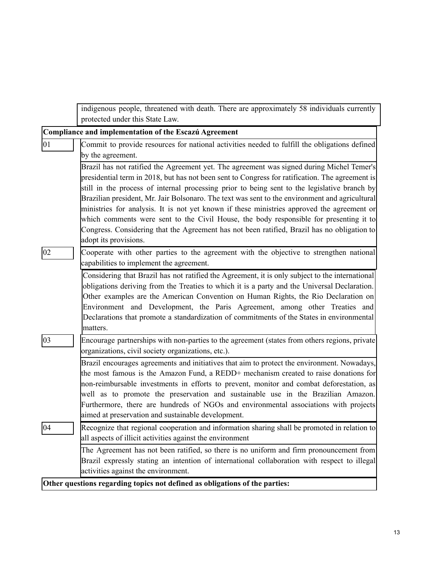|                 | indigenous people, threatened with death. There are approximately 58 individuals currently<br>protected under this State Law.                                                                                                                                                                                                                                                                                                                                                                                                                                                                                                                                                                                  |
|-----------------|----------------------------------------------------------------------------------------------------------------------------------------------------------------------------------------------------------------------------------------------------------------------------------------------------------------------------------------------------------------------------------------------------------------------------------------------------------------------------------------------------------------------------------------------------------------------------------------------------------------------------------------------------------------------------------------------------------------|
|                 | Compliance and implementation of the Escazú Agreement                                                                                                                                                                                                                                                                                                                                                                                                                                                                                                                                                                                                                                                          |
| $\overline{01}$ | Commit to provide resources for national activities needed to fulfill the obligations defined<br>by the agreement.                                                                                                                                                                                                                                                                                                                                                                                                                                                                                                                                                                                             |
|                 | Brazil has not ratified the Agreement yet. The agreement was signed during Michel Temer's<br>presidential term in 2018, but has not been sent to Congress for ratification. The agreement is<br>still in the process of internal processing prior to being sent to the legislative branch by<br>Brazilian president, Mr. Jair Bolsonaro. The text was sent to the environment and agricultural<br>ministries for analysis. It is not yet known if these ministries approved the agreement or<br>which comments were sent to the Civil House, the body responsible for presenting it to<br>Congress. Considering that the Agreement has not been ratified, Brazil has no obligation to<br>adopt its provisions. |
| 02              | Cooperate with other parties to the agreement with the objective to strengthen national<br>capabilities to implement the agreement.                                                                                                                                                                                                                                                                                                                                                                                                                                                                                                                                                                            |
|                 | Considering that Brazil has not ratified the Agreement, it is only subject to the international<br>obligations deriving from the Treaties to which it is a party and the Universal Declaration.<br>Other examples are the American Convention on Human Rights, the Rio Declaration on<br>Environment and Development, the Paris Agreement, among other Treaties and<br>Declarations that promote a standardization of commitments of the States in environmental<br>matters.                                                                                                                                                                                                                                   |
| $ 03\rangle$    | Encourage partnerships with non-parties to the agreement (states from others regions, private<br>organizations, civil society organizations, etc.).                                                                                                                                                                                                                                                                                                                                                                                                                                                                                                                                                            |
|                 | Brazil encourages agreements and initiatives that aim to protect the environment. Nowadays,<br>the most famous is the Amazon Fund, a REDD+ mechanism created to raise donations for<br>non-reimbursable investments in efforts to prevent, monitor and combat deforestation, as<br>well as to promote the preservation and sustainable use in the Brazilian Amazon.<br>Furthermore, there are hundreds of NGOs and environmental associations with projects<br>aimed at preservation and sustainable development.                                                                                                                                                                                              |
| 04              | Recognize that regional cooperation and information sharing shall be promoted in relation to<br>all aspects of illicit activities against the environment                                                                                                                                                                                                                                                                                                                                                                                                                                                                                                                                                      |
|                 | The Agreement has not been ratified, so there is no uniform and firm pronouncement from<br>Brazil expressly stating an intention of international collaboration with respect to illegal<br>activities against the environment.                                                                                                                                                                                                                                                                                                                                                                                                                                                                                 |
|                 | Other questions regarding topics not defined as obligations of the parties:                                                                                                                                                                                                                                                                                                                                                                                                                                                                                                                                                                                                                                    |